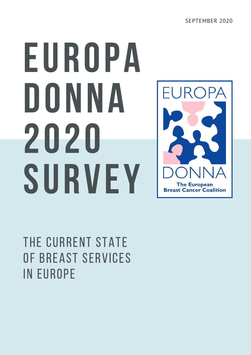# EUROPA DONNA 2020 SURVEY



THE CURRENT STATE of Breast Services in Europe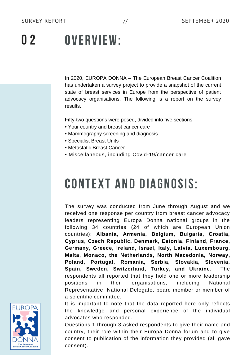#### OVERVIEW: 0 2

In 2020, EUROPA DONNA – The European Breast Cancer Coalition has undertaken a survey project to provide a snapshot of the current state of breast services in Europe from the perspective of patient advocacy organisations. The following is a report on the survey results.

Fifty-two questions were posed, divided into five sections:

- Your country and breast cancer care
- Mammography screening and diagnosis
- Specialist Breast Units
- Metastatic Breast Cancer
- Miscellaneous, including Covid-19/cancer care

# CONTEXT AND DIAGNOSIS:

The survey was conducted from June through August and we received one response per country from breast cancer advocacy leaders representing Europa Donna national groups in the following 34 countries (24 of which are European Union countries): **Albania, Armenia, Belgium, Bulgaria, Croatia, Cyprus, Czech Republic, Denmark, Estonia, Finland, France, Germany, Greece, Ireland, Israel, Italy, Latvia, Luxembourg, Malta, Monaco, the Netherlands, North Macedonia, Norway, Poland, Portugal, Romania, Serbia, Slovakia, Slovenia, Spain, Sweden, Switzerland, Turkey, and Ukraine**. The respondents all reported that they hold one or more leadership positions in their organisations, including National Representative, National Delegate, board member or member of a scientific committee.

It is important to note that the data reported here only reflects the knowledge and personal experience of the individual advocates who responded.

Questions 1 through 3 asked respondents to give their name and country, their role within their Europa Donna forum and to give consent to publication of the information they provided (all gave consent).

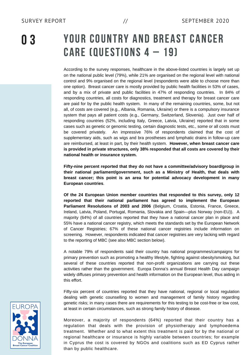0 3

### YOUR COUNTRY AND BREAST CANCER CARE (QUESTIONS  $4 - 19$ )

According to the survey responses, healthcare in the above-listed countries is largely set up on the national public level (79%), while 21% are organised on the regional level with national control and 9% organised on the regional level (respondents were able to choose more than one option). Breast cancer care is mostly provided by public health facilities in 53% of cases, and by a mix of private and public facilities in 47% of responding countries. In 84% of responding countries, all costs for diagnostics, treatment and therapy for breast cancer care are paid for by the public health system. In many of the remaining countries, some, but not all, of costs are covered (e.g., Albania, Romania, Ukraine) or there is a compulsory insurance system that pays all patient costs (e.g., Germany, Switzerland, Slovenia). Just over half of responding countries (52%, including Italy, Greece, Latvia, Ukraine) reported that in some cases such as genetic or genomic testing, certain diagnostic tests, etc., some or all costs must be covered privately. An impressive 76% of respondents claimed that the cost of supplementary aids, such as wigs and bra prostheses and lymphatic drains in follow-up care are reimbursed, at least in part, by their health system. **However, when breast cancer care is provided in private structures, only 38% responded that all costs are covered by their national health or insurance system.**

**Fifty-nine percent reported that they do not have a committee/advisory board/group in their national parliament/government, such as a Ministry of Health, that deals with breast cancer; this point is an area for potential advocacy development in many European countries**.

**Of the 24 European Union member countries that responded to this survey, only 12 reported that their national parliament has agreed to implement the European Parliament Resolutions of 2003 and 2006** (Belgium, Croatia, Estonia, France, Greece, Ireland, Latvia, Poland, Portugal, Romania, Slovakia and Spain—plus Norway (non-EU)). A majority (64%) of all countries reported that they have a national cancer plan in place and 55% have a national cancer registry, which meets the standards set by the European Network of Cancer Registries; 67% of these national cancer registries include information on screening. However, respondents indicated that cancer registries are very lacking with regard to the reporting of MBC (see also MBC section below).

A notable 79% of respondents said their country has national programmes/campaigns for primary prevention such as promoting a healthy lifestyle, fighting against obesity/smoking, but several of these countries reported that non-profit organizations are carrying out these activities rather than the government. Europa Donna's annual Breast Health Day campaign widely diffuses primary prevention and health information on the European level, thus aiding in this effort.

Fifty-six percent of countries reported that they have national, regional or local regulation dealing with genetic counselling to women and management of family history regarding genetic risks; in many cases there are requirements for this testing to be cost-free or low cost, at least in certain circumstances, such as strong family history of disease.

Moreover, a majority of respondents (64%) reported that their country has a regulation that deals with the provision of physiotherapy and lymphoedema treatment. Whether and to what extent this treatment is paid for by the national or regional healthcare or insurance is highly variable between countries; for example in Cyprus the cost is covered by NGOs and coalitions such as ED Cyprus rather than by public healthcare.

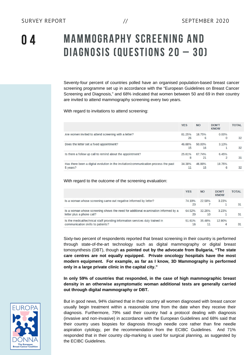n *a* 

## MAMMOGRAPHY SCREENING AND DIAGNOSIS (QUESTIONS <sup>20</sup> – 30)

Seventy-four percent of countries polled have an organised population-based breast cancer screening programme set up in accordance with the "European Guidelines on Breast Cancer Screening and Diagnosis," and 68% indicated that women between 50 and 69 in their country are invited to attend mammography screening every two years.

With regard to invitations to attend screening:

|                                                                                                 | <b>YES</b>   | <b>NO</b>    | <b>DON'T</b><br><b>KNOW</b> | <b>TOTAL</b> |
|-------------------------------------------------------------------------------------------------|--------------|--------------|-----------------------------|--------------|
| Are women invited to attend screening with a letter?                                            | 81.25%<br>26 | 18.75%<br>6  | $0.00\%$                    | 32           |
| Does the letter set a fixed appointment?                                                        | 46.88%<br>15 | 50 00%<br>16 | 3 1 3%                      | 32           |
| Is there a follow up call to remind about the appointment?                                      | 25.81%<br>8  | 67.74%<br>21 | 6.45%                       | 31           |
| Has there been a digital evolution in the invitation/communication process the past<br>5 years? | 34.38%<br>11 | 46.88%<br>15 | 18.75%<br>6                 | 32           |

With regard to the outcome of the screening evaluation:

|                                                                                                                    | <b>YES</b>   | <b>NO</b>    | <b>DON'T</b><br><b>KNOW</b> | <b>TOTAL</b> |
|--------------------------------------------------------------------------------------------------------------------|--------------|--------------|-----------------------------|--------------|
| Is a woman whose screening came out negative informed by letter?                                                   | 74.19%<br>23 | 22.58%       | 3.23%                       | 31           |
| Is a woman whose screening shows the need for additional examination informed by a<br>letter plus a phone call?    | 64.52%<br>20 | 32.26%<br>10 | 3.23%                       | 31           |
| Is the medical/technical staff providing information services duly trained in<br>communication skills to patients? | 51.61%<br>16 | 35.48%       | 12.90%<br>$\Delta$          | 31           |

Sixty-two percent of respondents reported that breast screening in their country is performed through state-of-the-art technology such as digital mammography or digital breast tomosynthesis (DBT), though **as pointed out by the advocate from Bulgaria, "The state care centres are not equally equipped. Private oncology hospitals have the most modern equipment. For example, as far as I know, 3D Mammography is performed only in a large private clinic in the capital city."**

**In only 59% of countries that responded, in the case of high mammographic breast density in an otherwise asymptomatic woman additional tests are generally carried out through digital mammography or DBT.**

But in good news, 94% claimed that in their country all women diagnosed with breast cancer usually begin treatment within a reasonable time from the date when they receive their diagnosis. Furthermore, 79% said their country had a protocol dealing with diagnosis (invasive and non-invasive) in accordance with the European Guidelines and 68% said that their country uses biopsies for diagnosis through needle core rather than fine needle aspiration cytology, per the recommendation from the ECIBC Guidelines. And 71% responded that in their country clip-marking is used for surgical planning, as suggested by the ECIBC Guidelines.

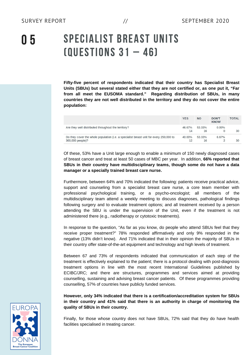0 5

## SPECIALIST BREAST UNITS (QUESTIONS <sup>31</sup> – 46)

**Fifty-five percent of respondents indicated that their country has Specialist Breast Units (SBUs) but several stated either that they are not certified or, as one put it, "Far from all meet the EUSOMA standard." Regarding distribution of SBUs, in many countries they are not well distributed in the territory and they do not cover the entire population:**

|                                                                                                            | <b>YES</b>   | <b>NO</b>    | <b>DON'T</b><br><b>KNOW</b> | <b>TOTAL</b> |
|------------------------------------------------------------------------------------------------------------|--------------|--------------|-----------------------------|--------------|
| Are they well distributed throughout the territory?                                                        | 46.67%<br>14 | 53.33%<br>16 | $0.00\%$                    | 30           |
| Do they cover the whole population (i.e. a specialist breast unit for every 250,000 to<br>300,000 people)? | 40.00%       | 53.33%<br>16 | 6.67%                       | 30           |

Of these, 53% have a Unit large enough to enable a minimum of 150 newly diagnosed cases of breast cancer and treat at least 50 cases of MBC per year. In addition, **66% reported that SBUs in their country have multidisciplinary teams, though some do not have a data manager or a specially trained breast care nurse.**

Furthermore, between 64% and 70% indicated the following: patients receive practical advice, support and counseling from a specialist breast care nurse, a core team member with professional psychological training, or a psycho-oncologist; all members of the multidisciplinary team attend a weekly meeting to discuss diagnoses, pathological findings following surgery and to evaluate treatment options; and all treatment received by a person attending the SBU is under the supervision of the Unit, even if the treatment is not administered there (e.g., radiotherapy or cytotoxic treatments).

In response to the question, "As far as you know, do people who attend SBUs feel that they receive proper treatment?" 78% responded affirmatively and only 9% responded in the negative (13% didn't know). And 71% indicated that in their opinion the majority of SBUs in their country offer state-of-the-art equipment and technology and high levels of treatment.

Between 67 and 73% of respondents indicated that communication of each step of the treatment is effectively explained to the patient; there is a protocol dealing with post-diagnosis treatment options in line with the most recent International Guidelines published by ECIBC/JRC; and there are structures, programmes and services aimed at providing counselling, sustaining and advising breast cancer patients. Of these programmes providing counselling, 57% of countries have publicly funded services.

**However, only 34% indicated that there is a certification/accreditation system for SBUs in their country and 41% said that there is an authority in charge of monitoring the quality of SBUs in their country.**

Finally, for those whose country does not have SBUs, 72% said that they do have health facilities specialised in treating cancer.

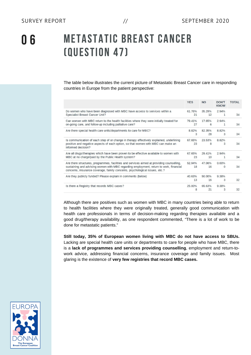The table below illustrates the current picture of Metastatic Breast Cancer care in responding countries in Europe from the patient perspective:

|                                                                                                                                                                                                                                                                   | <b>YES</b>   | <b>NO</b>    | <b>DON'T</b><br><b>KNOW</b> | <b>TOTAL</b> |
|-------------------------------------------------------------------------------------------------------------------------------------------------------------------------------------------------------------------------------------------------------------------|--------------|--------------|-----------------------------|--------------|
| Do women who have been diagnosed with MBC have access to services within a<br>Specialist Breast Cancer Unit?                                                                                                                                                      | 61.76%<br>21 | 35 29%<br>12 | 294%<br>$\mathbf{1}$        | 34           |
| Can women with MBC return to the health facilities where they were initially treated for<br>on-going care, and follow-up including palliative care?                                                                                                               | 79.41%<br>27 | 17.65%<br>6  | 2.94%<br>$\mathbf{1}$       | 34           |
| Are there special health care units/departments to care for MBC?                                                                                                                                                                                                  | 8.82%<br>3   | 82.35%<br>28 | 8.82%<br>3                  | 34           |
| Is communication of each step of or change in therapy effectively explained, underlining<br>positive and negative aspects of each option, so that women with MBC can make an<br>informed decision?                                                                | 67.65%<br>23 | 23.53%<br>8  | 8.82%<br>3                  | 34           |
| Are all drugs/therapies which have been proven to be effective available to women with<br>MBC at no charge/paid by the Public Health system?                                                                                                                      | 67.65%<br>23 | 29.41%<br>10 | 2 94%<br>1                  | 34           |
| Are there structures, programmes, facilities and services aimed at providing counselling,<br>sustaining and advising women with MBC regarding employment, return to work, financial<br>concerns, insurance coverage, family concerns, psychological issues, etc.? | 52 94%<br>18 | 47 06%<br>16 | $0.00\%$<br>$\mathbf{0}$    | 34           |
| Are they publicly funded? Please explain in comments (below)                                                                                                                                                                                                      | 40.63%<br>13 | 50.00%<br>16 | 9 38%<br>3                  | 32           |
| Is there a Registry that records MBC cases?                                                                                                                                                                                                                       | 25.00%<br>8  | 65.63%<br>21 | 9.38%<br>3                  | 32           |

Although there are positives such as women with MBC in many countries being able to return to health facilities where they were originally treated, generally good communication with health care professionals in terms of decision-making regarding therapies available and a good drug/therapy availability, as one respondent commented, "There is a lot of work to be done for metastatic patients."

**Still today, 35% of European women living with MBC do not have access to SBUs.** Lacking are special health care units or departments to care for people who have MBC, there is a **lack of programmes and services providing counselling**, employment and return-towork advice, addressing financial concerns, insurance coverage and family issues. Most glaring is the existence of **very few registries that record MBC cases.**

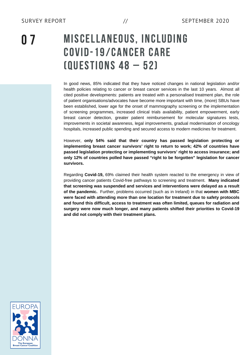0 7

## MISCELLANEOUS, INCLUDING COVID-19/CANCER CARE (QUESTIONS <sup>48</sup> – 52)

In good news, 85% indicated that they have noticed changes in national legislation and/or health policies relating to cancer or breast cancer services in the last 10 years. Almost all cited positive developments: patients are treated with a personalised treatment plan, the role of patient organisations/advocates have become more important with time, (more) SBUs have been established, lower age for the onset of mammography screening or the implementation of screening programmes, increased clinical trials availability, patient empowerment, early breast cancer detection, greater patient reimbursement for molecular signatures tests, improvements in societal awareness, legal improvements, gradual modernisation of oncology hospitals, increased public spending and secured access to modern medicines for treatment.

However, **only 54% said that their country has passed legislation protecting or implementing breast cancer survivors' right to return to work; 42% of countries have passed legislation protecting or implementing survivors' right to access insurance; and only 12% of countries polled have passed "right to be forgotten" legislation for cancer survivors.**

Regarding **Covid-19,** 69% claimed their health system reacted to the emergency in view of providing cancer patients Covid-free pathways to screening and treatment. **Many indicated that screening was suspended and services and interventions were delayed as a result of the pandemic.** Further, problems occurred (such as in Ireland) in that **women with MBC were faced with attending more than one location for treatment due to safety protocols and found this difficult, access to treatment was often limited, queues for radiation and surgery were now much longer, and many patients shifted their priorities to Covid-19 and did not comply with their treatment plans.**